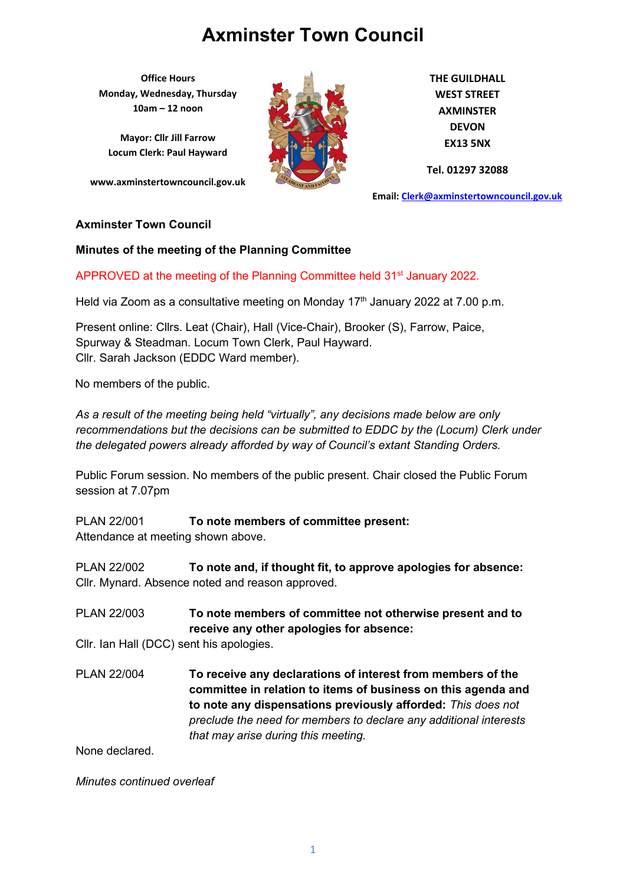**Office Hours Monday, Wednesday, Thursday 10am – 12 noon**

**Mayor: Cllr Jill Farrow Locum Clerk: Paul Hayward**

**www.axminstertowncouncil.gov.uk**



**THE GUILDHALL WEST STREET AXMINSTER DEVON EX13 5NX**

**Tel. 01297 32088**

**Email: [Clerk@axminstertowncouncil.gov.uk](file://///axm-svr-1/company/Templates/Clerk@axminstertowncouncil.gov.uk)**

#### **Axminster Town Council**

#### **Minutes of the meeting of the Planning Committee**

APPROVED at the meeting of the Planning Committee held 31<sup>st</sup> January 2022.

**TEL:** 0297 3208 Held via Zoom as a consultative meeting on Monday 17<sup>th</sup> January 2022 at 7.00 p.m.

Present online: Cllrs. Leat (Chair), Hall (Vice-Chair), Brooker (S), Farrow, Paice, Spurway & Steadman. Locum Town Clerk, Paul Hayward. Cllr. Sarah Jackson (EDDC Ward member).

No members of the public.

*As a result of the meeting being held "virtually", any decisions made below are only recommendations but the decisions can be submitted to EDDC by the (Locum) Clerk under the delegated powers already afforded by way of Council's extant Standing Orders.*

Public Forum session. No members of the public present. Chair closed the Public Forum session at 7.07pm

PLAN 22/001 **To note members of committee present:** Attendance at meeting shown above.

PLAN 22/002 **To note and, if thought fit, to approve apologies for absence:** Cllr. Mynard. Absence noted and reason approved.

PLAN 22/003 **To note members of committee not otherwise present and to receive any other apologies for absence:**

Cllr. Ian Hall (DCC) sent his apologies.

PLAN 22/004 **To receive any declarations of interest from members of the committee in relation to items of business on this agenda and to note any dispensations previously afforded:** *This does not preclude the need for members to declare any additional interests that may arise during this meeting.*

None declared.

*Minutes continued overleaf*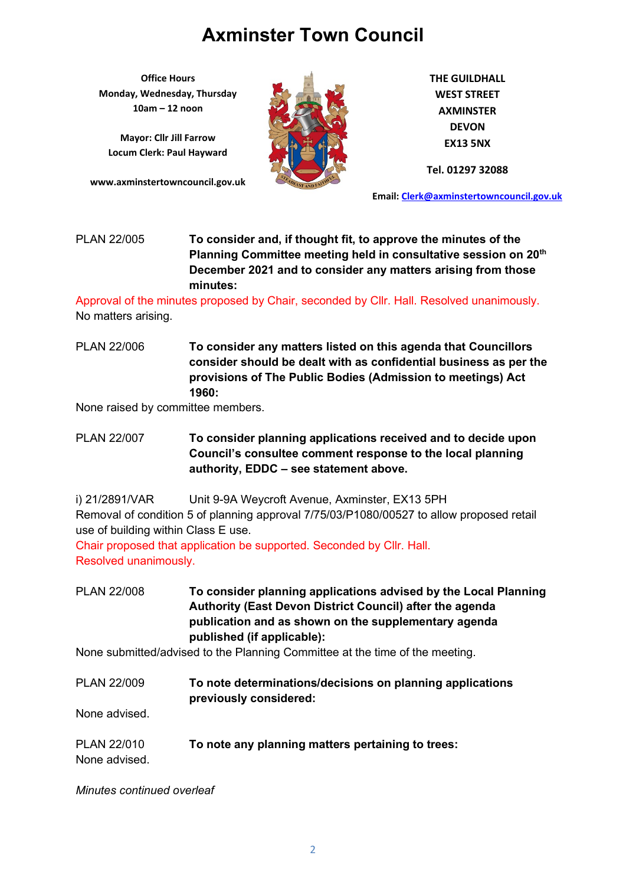**Office Hours Monday, Wednesday, Thursday 10am – 12 noon**

**Mayor: Cllr Jill Farrow Locum Clerk: Paul Hayward**

**www.axminstertowncouncil.gov.uk**



**THE GUILDHALL WEST STREET AXMINSTER DEVON EX13 5NX**

**Tel. 01297 32088**

**Email: [Clerk@axminstertowncouncil.gov.uk](file://///axm-svr-1/company/Templates/Clerk@axminstertowncouncil.gov.uk)**

## PLAN 22/005 **To consider and, if thought fit, to approve the minutes of the Planning Committee meeting held in consultative session on 20th December 2021 and to consider any matters arising from those minutes:**

**TEL: 01297 32088** Approval of the minutes proposed by Chair, seconded by Cllr. Hall. Resolved unanimously. No matters arising.

PLAN 22/006 **To consider any matters listed on this agenda that Councillors consider should be dealt with as confidential business as per the provisions of The Public Bodies (Admission to meetings) Act 1960:**

None raised by committee members.

- PLAN 22/007 **To consider planning applications received and to decide upon Council's consultee comment response to the local planning authority, EDDC – see statement above.**
- i) 21/2891/VAR Unit 9-9A Weycroft Avenue, Axminster, EX13 5PH Removal of condition 5 of planning approval 7/75/03/P1080/00527 to allow proposed retail use of building within Class E use.

Chair proposed that application be supported. Seconded by Cllr. Hall. Resolved unanimously.

PLAN 22/008 **To consider planning applications advised by the Local Planning Authority (East Devon District Council) after the agenda publication and as shown on the supplementary agenda published (if applicable):**

None submitted/advised to the Planning Committee at the time of the meeting.

PLAN 22/009 **To note determinations/decisions on planning applications previously considered:**

None advised.

PLAN 22/010 **To note any planning matters pertaining to trees:** None advised.

*Minutes continued overleaf*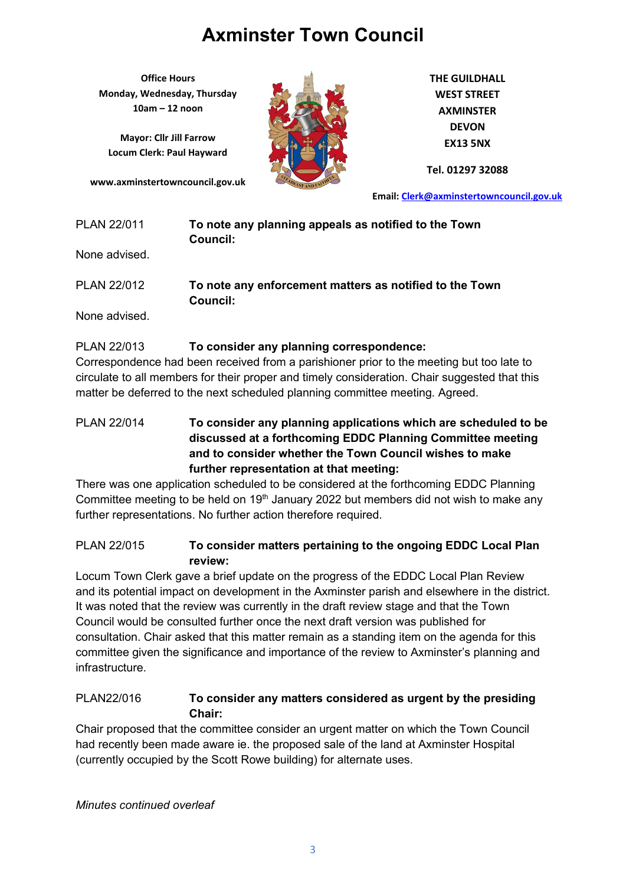**Office Hours Monday, Wednesday, Thursday 10am – 12 noon**

**Mayor: Cllr Jill Farrow Locum Clerk: Paul Hayward**

**www.axminstertowncouncil.gov.uk**



**THE GUILDHALL WEST STREET AXMINSTER DEVON EX13 5NX**

**Tel. 01297 32088**

**Email: [Clerk@axminstertowncouncil.gov.uk](file://///axm-svr-1/company/Templates/Clerk@axminstertowncouncil.gov.uk)**

| PLAN 22/011 | To note any planning appeals as notified to the Town |
|-------------|------------------------------------------------------|
|             | Council:                                             |

None advised.

| <b>PLAN 22/012</b> | To note any enforcement matters as notified to the Town |
|--------------------|---------------------------------------------------------|
|                    | Council:                                                |

None advised.

### PLAN 22/013 **To consider any planning correspondence:**

Correspondence had been received from a parishioner prior to the meeting but too late to circulate to all members for their proper and timely consideration. Chair suggested that this matter be deferred to the next scheduled planning committee meeting. Agreed.

### PLAN 22/014 **To consider any planning applications which are scheduled to be discussed at a forthcoming EDDC Planning Committee meeting and to consider whether the Town Council wishes to make further representation at that meeting:**

There was one application scheduled to be considered at the forthcoming EDDC Planning Committee meeting to be held on  $19<sup>th</sup>$  January 2022 but members did not wish to make any further representations. No further action therefore required.

### PLAN 22/015 **To consider matters pertaining to the ongoing EDDC Local Plan review:**

Locum Town Clerk gave a brief update on the progress of the EDDC Local Plan Review and its potential impact on development in the Axminster parish and elsewhere in the district. It was noted that the review was currently in the draft review stage and that the Town Council would be consulted further once the next draft version was published for consultation. Chair asked that this matter remain as a standing item on the agenda for this committee given the significance and importance of the review to Axminster's planning and infrastructure.

### PLAN22/016 **To consider any matters considered as urgent by the presiding Chair:**

Chair proposed that the committee consider an urgent matter on which the Town Council had recently been made aware ie. the proposed sale of the land at Axminster Hospital (currently occupied by the Scott Rowe building) for alternate uses.

*Minutes continued overleaf*